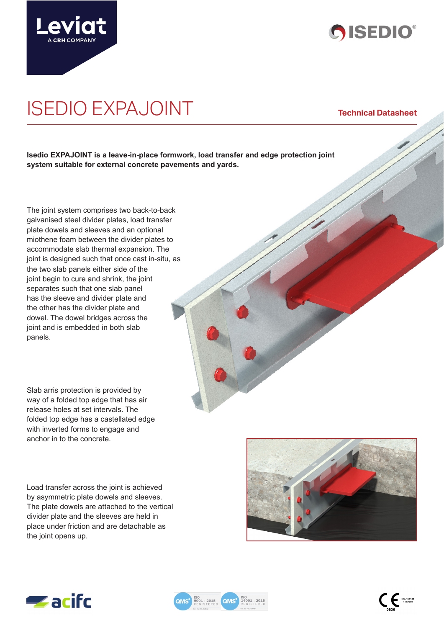



# ISEDIO EXPAJOINT **Technical Datasheet**

**Isedio EXPAJOINT is a leave-in-place formwork, load transfer and edge protection joint system suitable for external concrete pavements and yards.** 

The joint system comprises two back-to-back galvanised steel divider plates, load transfer plate dowels and sleeves and an optional miothene foam between the divider plates to accommodate slab thermal expansion. The joint is designed such that once cast in-situ, as the two slab panels either side of the joint begin to cure and shrink, the joint separates such that one slab panel has the sleeve and divider plate and the other has the divider plate and dowel. The dowel bridges across the joint and is embedded in both slab panels.

Slab arris protection is provided by way of a folded top edge that has air release holes at set intervals. The folded top edge has a castellated edge with inverted forms to engage and anchor in to the concrete.

Load transfer across the joint is achieved by asymmetric plate dowels and sleeves. The plate dowels are attached to the vertical divider plate and the sleeves are held in place under friction and are detachable as the joint opens up.